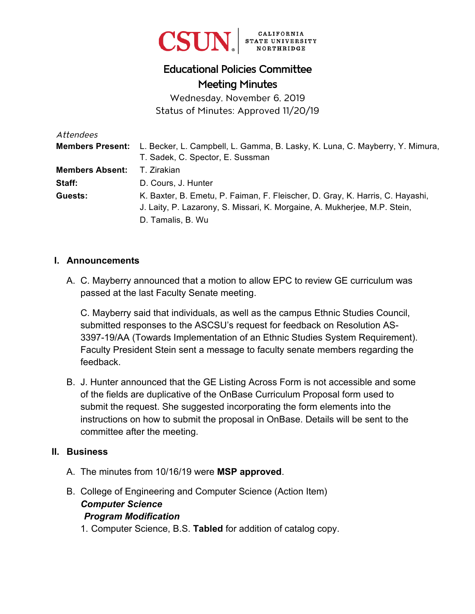

# Educational Policies Committee Meeting Minutes

Wednesday, November 6, 2019 Status of Minutes: Approved 11/20/19

| Attendees               |                                                                                                                                                            |
|-------------------------|------------------------------------------------------------------------------------------------------------------------------------------------------------|
| <b>Members Present:</b> | L. Becker, L. Campbell, L. Gamma, B. Lasky, K. Luna, C. Mayberry, Y. Mimura,                                                                               |
|                         | T. Sadek, C. Spector, E. Sussman                                                                                                                           |
| <b>Members Absent:</b>  | T. Zirakian                                                                                                                                                |
| Staff:                  | D. Cours, J. Hunter                                                                                                                                        |
| Guests:                 | K. Baxter, B. Emetu, P. Faiman, F. Fleischer, D. Gray, K. Harris, C. Hayashi,<br>J. Laity, P. Lazarony, S. Missari, K. Morgaine, A. Mukherjee, M.P. Stein, |
|                         | D. Tamalis, B. Wu                                                                                                                                          |

#### **I. Announcements**

A. C. Mayberry announced that a motion to allow EPC to review GE curriculum was passed at the last Faculty Senate meeting.

C. Mayberry said that individuals, as well as the campus Ethnic Studies Council, submitted responses to the ASCSU's request for feedback on Resolution AS-3397-19/AA (Towards Implementation of an Ethnic Studies System Requirement). Faculty President Stein sent a message to faculty senate members regarding the feedback.

B. J. Hunter announced that the GE Listing Across Form is not accessible and some of the fields are duplicative of the OnBase Curriculum Proposal form used to submit the request. She suggested incorporating the form elements into the instructions on how to submit the proposal in OnBase. Details will be sent to the committee after the meeting.

#### **II. Business**

- A. The minutes from 10/16/19 were **MSP approved**.
- B. College of Engineering and Computer Science (Action Item) *Computer Science Program Modification* 
	- 1. Computer Science, B.S. **Tabled** for addition of catalog copy.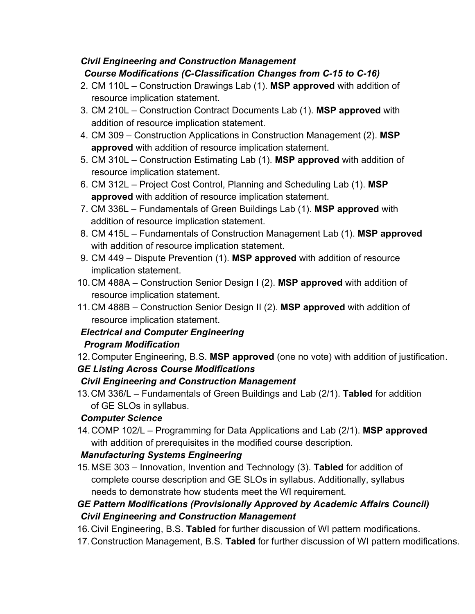# *Civil Engineering and Construction Management Course Modifications (C-Classification Changes from C-15 to C-16)*

- 2. CM 110L Construction Drawings Lab (1). **MSP approved** with addition of resource implication statement.
- 3. CM 210L Construction Contract Documents Lab (1). **MSP approved** with addition of resource implication statement.
- 4. CM 309 Construction Applications in Construction Management (2). **MSP approved** with addition of resource implication statement.
- 5. CM 310L Construction Estimating Lab (1). **MSP approved** with addition of resource implication statement.
- 6. CM 312L Project Cost Control, Planning and Scheduling Lab (1). **MSP approved** with addition of resource implication statement.
- 7. CM 336L Fundamentals of Green Buildings Lab (1). **MSP approved** with addition of resource implication statement.
- 8. CM 415L Fundamentals of Construction Management Lab (1). **MSP approved** with addition of resource implication statement.
- 9. CM 449 Dispute Prevention (1). **MSP approved** with addition of resource implication statement.
- 10. CM 488A Construction Senior Design I (2). **MSP approved** with addition of resource implication statement.
- 11. CM 488B Construction Senior Design II (2). **MSP approved** with addition of resource implication statement.

# *Electrical and Computer Engineering*

# *Program Modification*

12. Computer Engineering, B.S. **MSP approved** (one no vote) with addition of justification. *GE Listing Across Course Modifications* 

# *Civil Engineering and Construction Management*

13. CM 336/L – Fundamentals of Green Buildings and Lab (2/1). **Tabled** for addition of GE SLOs in syllabus.

# *Computer Science*

14. COMP 102/L – Programming for Data Applications and Lab (2/1). **MSP approved** with addition of prerequisites in the modified course description.

# *Manufacturing Systems Engineering*

15. MSE 303 – Innovation, Invention and Technology (3). **Tabled** for addition of complete course description and GE SLOs in syllabus. Additionally, syllabus needs to demonstrate how students meet the WI requirement.

# *GE Pattern Modifications (Provisionally Approved by Academic Affairs Council) Civil Engineering and Construction Management*

- 16.Civil Engineering, B.S. **Tabled** for further discussion of WI pattern modifications.
- 17. Construction Management, B.S. **Tabled** for further discussion of WI pattern modifications.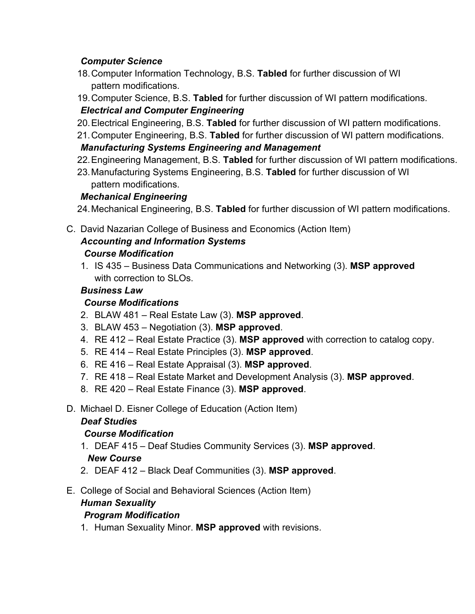# *Computer Science*

- 18. Computer Information Technology, B.S. **Tabled** for further discussion of WI pattern modifications.
- 19. Computer Science, B.S. **Tabled** for further discussion of WI pattern modifications. *Electrical and Computer Engineering*
- 20. Electrical Engineering, B.S. **Tabled** for further discussion of WI pattern modifications.
- 21. Computer Engineering, B.S. **Tabled** for further discussion of WI pattern modifications.

# *Manufacturing Systems Engineering and Management*

- 22. Engineering Management, B.S. **Tabled** for further discussion of WI pattern modifications.
- 23. Manufacturing Systems Engineering, B.S. **Tabled** for further discussion of WI pattern modifications.

# *Mechanical Engineering*

24. Mechanical Engineering, B.S. **Tabled** for further discussion of WI pattern modifications.

C. David Nazarian College of Business and Economics (Action Item)

#### *Accounting and Information Systems Course Modification*

1. IS 435 – Business Data Communications and Networking (3). **MSP approved**  with correction to SLOs.

# *Business Law*

# *Course Modifications*

- 2. BLAW 481 Real Estate Law (3). **MSP approved**.
- 3. BLAW 453 Negotiation (3). **MSP approved**.
- 4. RE 412 Real Estate Practice (3). **MSP approved** with correction to catalog copy.
- 5. RE 414 Real Estate Principles (3). **MSP approved**.
- 6. RE 416 Real Estate Appraisal (3). **MSP approved**.
- 7. RE 418 Real Estate Market and Development Analysis (3). **MSP approved**.
- 8. RE 420 Real Estate Finance (3). **MSP approved**.
- D. Michael D. Eisner College of Education (Action Item)

# *Deaf Studies*

#### *Course Modification*

- 1. DEAF 415 Deaf Studies Community Services (3). **MSP approved**. *New Course*
- 2. DEAF 412 Black Deaf Communities (3). **MSP approved**.
- E. College of Social and Behavioral Sciences (Action Item)

#### *Human Sexuality*

# *Program Modification*

1. Human Sexuality Minor. **MSP approved** with revisions.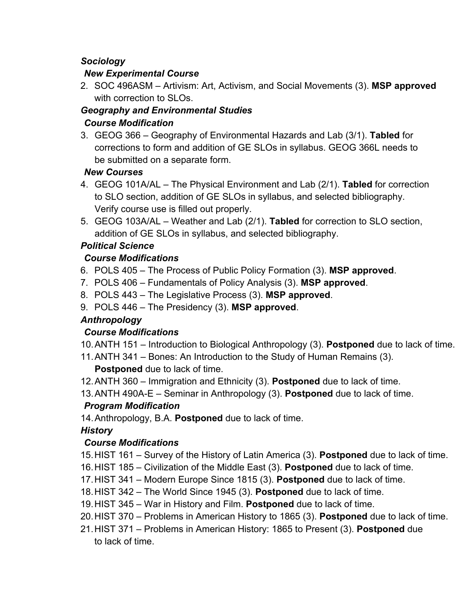# *Sociology*

#### *New Experimental Course*

2. SOC 496ASM – Artivism: Art, Activism, and Social Movements (3). **MSP approved** with correction to SLOs.

# *Geography and Environmental Studies Course Modification*

3. GEOG 366 – Geography of Environmental Hazards and Lab (3/1). **Tabled** for corrections to form and addition of GE SLOs in syllabus. GEOG 366L needs to be submitted on a separate form.

# *New Courses*

- 4. GEOG 101A/AL The Physical Environment and Lab (2/1). **Tabled** for correction to SLO section, addition of GE SLOs in syllabus, and selected bibliography. Verify course use is filled out properly.
- 5. GEOG 103A/AL Weather and Lab (2/1). **Tabled** for correction to SLO section, addition of GE SLOs in syllabus, and selected bibliography.

# *Political Science*

# *Course Modifications*

- 6. POLS 405 The Process of Public Policy Formation (3). **MSP approved**.
- 7. POLS 406 Fundamentals of Policy Analysis (3). **MSP approved**.
- 8. POLS 443 The Legislative Process (3). **MSP approved**.
- 9. POLS 446 The Presidency (3). **MSP approved**.

# *Anthropology*

# *Course Modifications*

- 10. ANTH 151 Introduction to Biological Anthropology (3). **Postponed** due to lack of time.
- 11. ANTH 341 Bones: An Introduction to the Study of Human Remains (3).

**Postponed** due to lack of time.

- 12. ANTH 360 Immigration and Ethnicity (3). **Postponed** due to lack of time.
- 13. ANTH 490A-E Seminar in Anthropology (3). **Postponed** due to lack of time.

# *Program Modification*

14. Anthropology, B.A. **Postponed** due to lack of time.

# *History*

# *Course Modifications*

- 15.HIST 161 Survey of the History of Latin America (3). **Postponed** due to lack of time.
- 16. HIST 185 Civilization of the Middle East (3). **Postponed** due to lack of time.
- 17. HIST 341 Modern Europe Since 1815 (3). **Postponed** due to lack of time.
- 18. HIST 342 The World Since 1945 (3). **Postponed** due to lack of time.
- 19. HIST 345 War in History and Film. **Postponed** due to lack of time.
- 20. HIST 370 Problems in American History to 1865 (3). **Postponed** due to lack of time.
- 21. HIST 371 Problems in American History: 1865 to Present (3). **Postponed** due to lack of time.